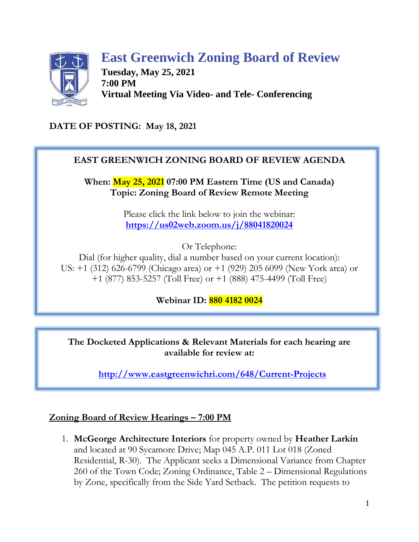# **East Greenwich Zoning Board of Review**

**Tuesday, May 25, 2021 7:00 PM Virtual Meeting Via Video- and Tele- Conferencing**

# **DATE OF POSTING: May 18, 2021**

# **EAST GREENWICH ZONING BOARD OF REVIEW AGENDA**

**When: May 25, 2021 07:00 PM Eastern Time (US and Canada) Topic: Zoning Board of Review Remote Meeting**

> Please click the link below to join the webinar: **<https://us02web.zoom.us/j/88041820024>**

> > Or Telephone:

Dial (for higher quality, dial a number based on your current location): US: +1 (312) 626-6799 (Chicago area) or +1 (929) 205 6099 (New York area) or +1 (877) 853-5257 (Toll Free) or +1 (888) 475-4499 (Toll Free)

**Webinar ID: 880 4182 0024**

**The Docketed Applications & Relevant Materials for each hearing are available for review at:**

**<http://www.eastgreenwichri.com/648/Current-Projects>**

### **Zoning Board of Review Hearings – 7:00 PM**

1. **McGeorge Architecture Interiors** for property owned by **Heather Larkin** and located at 90 Sycamore Drive; Map 045 A.P. 011 Lot 018 (Zoned Residential, R-30). The Applicant seeks a Dimensional Variance from Chapter 260 of the Town Code; Zoning Ordinance, Table 2 – Dimensional Regulations by Zone, specifically from the Side Yard Setback. The petition requests to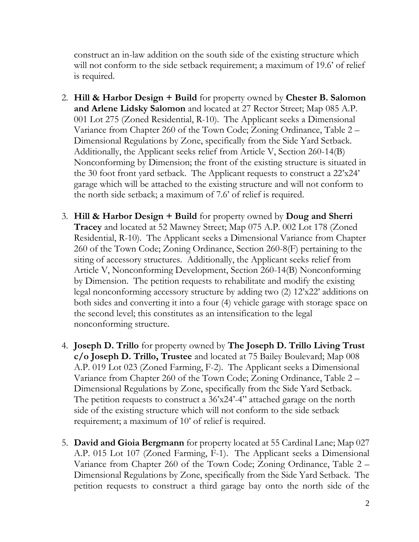construct an in-law addition on the south side of the existing structure which will not conform to the side setback requirement; a maximum of 19.6' of relief is required.

- 2. **Hill & Harbor Design + Build** for property owned by **Chester B. Salomon and Arlene Lidsky Salomon** and located at 27 Rector Street; Map 085 A.P. 001 Lot 275 (Zoned Residential, R-10). The Applicant seeks a Dimensional Variance from Chapter 260 of the Town Code; Zoning Ordinance, Table 2 – Dimensional Regulations by Zone, specifically from the Side Yard Setback. Additionally, the Applicant seeks relief from Article V, Section 260-14(B) Nonconforming by Dimension; the front of the existing structure is situated in the 30 foot front yard setback. The Applicant requests to construct a 22'x24' garage which will be attached to the existing structure and will not conform to the north side setback; a maximum of 7.6' of relief is required.
- 3. **Hill & Harbor Design + Build** for property owned by **Doug and Sherri Tracey** and located at 52 Mawney Street; Map 075 A.P. 002 Lot 178 (Zoned Residential, R-10). The Applicant seeks a Dimensional Variance from Chapter 260 of the Town Code; Zoning Ordinance, Section 260-8(F) pertaining to the siting of accessory structures. Additionally, the Applicant seeks relief from Article V, Nonconforming Development, Section 260-14(B) Nonconforming by Dimension. The petition requests to rehabilitate and modify the existing legal nonconforming accessory structure by adding two (2) 12'x22' additions on both sides and converting it into a four (4) vehicle garage with storage space on the second level; this constitutes as an intensification to the legal nonconforming structure.
- 4. **Joseph D. Trillo** for property owned by **The Joseph D. Trillo Living Trust c/o Joseph D. Trillo, Trustee** and located at 75 Bailey Boulevard; Map 008 A.P. 019 Lot 023 (Zoned Farming, F-2). The Applicant seeks a Dimensional Variance from Chapter 260 of the Town Code; Zoning Ordinance, Table 2 – Dimensional Regulations by Zone, specifically from the Side Yard Setback. The petition requests to construct a 36'x24'-4" attached garage on the north side of the existing structure which will not conform to the side setback requirement; a maximum of 10' of relief is required.
- 5. **David and Gioia Bergmann** for property located at 55 Cardinal Lane; Map 027 A.P. 015 Lot 107 (Zoned Farming, F-1). The Applicant seeks a Dimensional Variance from Chapter 260 of the Town Code; Zoning Ordinance, Table 2 – Dimensional Regulations by Zone, specifically from the Side Yard Setback. The petition requests to construct a third garage bay onto the north side of the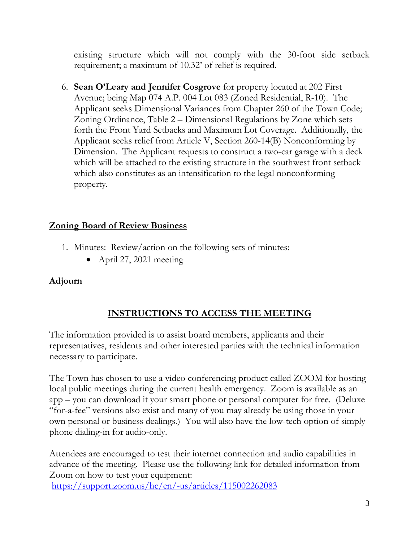existing structure which will not comply with the 30-foot side setback requirement; a maximum of 10.32' of relief is required.

6. **Sean O'Leary and Jennifer Cosgrove** for property located at 202 First Avenue; being Map 074 A.P. 004 Lot 083 (Zoned Residential, R-10). The Applicant seeks Dimensional Variances from Chapter 260 of the Town Code; Zoning Ordinance, Table 2 – Dimensional Regulations by Zone which sets forth the Front Yard Setbacks and Maximum Lot Coverage. Additionally, the Applicant seeks relief from Article V, Section 260-14(B) Nonconforming by Dimension. The Applicant requests to construct a two-car garage with a deck which will be attached to the existing structure in the southwest front setback which also constitutes as an intensification to the legal nonconforming property.

### **Zoning Board of Review Business**

- 1. Minutes: Review/action on the following sets of minutes:
	- April 27, 2021 meeting

### **Adjourn**

# **INSTRUCTIONS TO ACCESS THE MEETING**

The information provided is to assist board members, applicants and their representatives, residents and other interested parties with the technical information necessary to participate.

The Town has chosen to use a video conferencing product called ZOOM for hosting local public meetings during the current health emergency. Zoom is available as an app – you can download it your smart phone or personal computer for free. (Deluxe "for-a-fee" versions also exist and many of you may already be using those in your own personal or business dealings.) You will also have the low-tech option of simply phone dialing-in for audio-only.

Attendees are encouraged to test their internet connection and audio capabilities in advance of the meeting. Please use the following link for detailed information from Zoom on how to test your equipment: <https://support.zoom.us/hc/en/-us/articles/115002262083>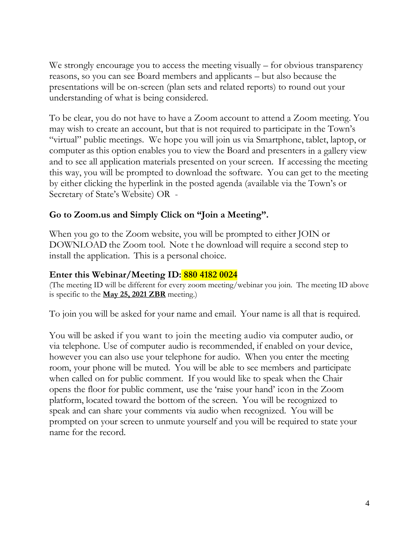We strongly encourage you to access the meeting visually – for obvious transparency reasons, so you can see Board members and applicants – but also because the presentations will be on-screen (plan sets and related reports) to round out your understanding of what is being considered.

To be clear, you do not have to have a Zoom account to attend a Zoom meeting. You may wish to create an account, but that is not required to participate in the Town's "virtual" public meetings. We hope you will join us via Smartphone, tablet, laptop, or computer as this option enables you to view the Board and presenters in a gallery view and to see all application materials presented on your screen. If accessing the meeting this way, you will be prompted to download the software. You can get to the meeting by either clicking the hyperlink in the posted agenda (available via the Town's or Secretary of State's Website) OR -

#### **Go to Zoom.us and Simply Click on "Join a Meeting".**

When you go to the Zoom website, you will be prompted to either JOIN or DOWNLOAD the Zoom tool. Note t he download will require a second step to install the application. This is a personal choice.

#### **Enter this Webinar/Meeting ID: 880 4182 0024**

(The meeting ID will be different for every zoom meeting/webinar you join. The meeting ID above is specific to the **May 25, 2021 ZBR** meeting.)

To join you will be asked for your name and email. Your name is all that is required.

You will be asked if you want to join the meeting audio via computer audio, or via telephone. Use of computer audio is recommended, if enabled on your device, however you can also use your telephone for audio. When you enter the meeting room, your phone will be muted. You will be able to see members and participate when called on for public comment. If you would like to speak when the Chair opens the floor for public comment, use the 'raise your hand' icon in the Zoom platform, located toward the bottom of the screen. You will be recognized to speak and can share your comments via audio when recognized. You will be prompted on your screen to unmute yourself and you will be required to state your name for the record.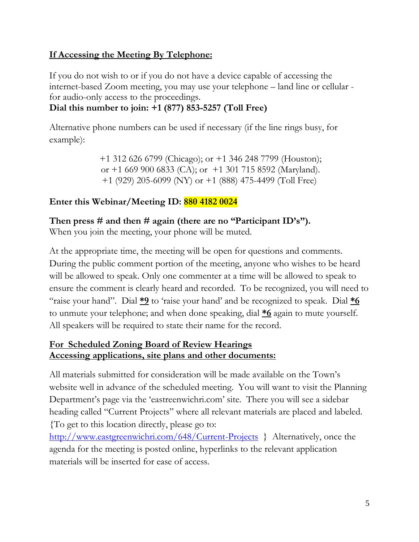# **If Accessing the Meeting By Telephone:**

If you do not wish to or if you do not have a device capable of accessing the internet-based Zoom meeting, you may use your telephone – land line or cellular for audio-only access to the proceedings.

# **Dial this number to join: +1 (877) 853-5257 (Toll Free)**

Alternative phone numbers can be used if necessary (if the line rings busy, for example):

> +1 312 626 6799 (Chicago); or +1 346 248 7799 (Houston); or +1 669 900 6833 (CA); or +1 301 715 8592 (Maryland). +1 (929) 205-6099 (NY) or +1 (888) 475-4499 (Toll Free)

# **Enter this Webinar/Meeting ID: 880 4182 0024**

**Then press # and then # again (there are no "Participant ID's").**

When you join the meeting, your phone will be muted.

At the appropriate time, the meeting will be open for questions and comments. During the public comment portion of the meeting, anyone who wishes to be heard will be allowed to speak. Only one commenter at a time will be allowed to speak to ensure the comment is clearly heard and recorded. To be recognized, you will need to "raise your hand". Dial **\*9** to 'raise your hand' and be recognized to speak. Dial **\*6** to unmute your telephone; and when done speaking, dial **\*6** again to mute yourself. All speakers will be required to state their name for the record.

#### **For Scheduled Zoning Board of Review Hearings Accessing applications, site plans and other documents:**

All materials submitted for consideration will be made available on the Town's website well in advance of the scheduled meeting. You will want to visit the Planning Department's page via the 'eastreenwichri.com' site. There you will see a sidebar heading called "Current Projects" where all relevant materials are placed and labeled. {To get to this location directly, please go to:

<http://www.eastgreenwichri.com/648/Current-Projects>} Alternatively, once the agenda for the meeting is posted online, hyperlinks to the relevant application materials will be inserted for ease of access.